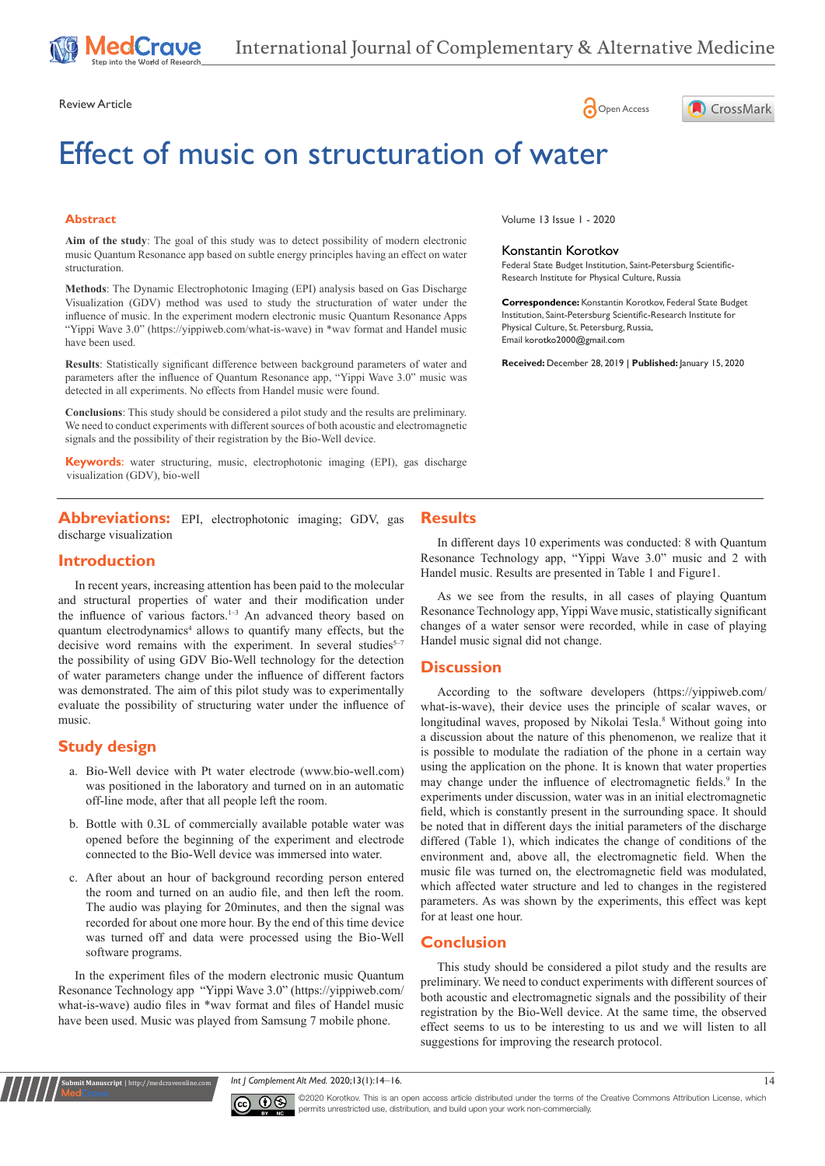

Review Article **Contracts** Contracts and Contracts Contracts Contracts Contracts Contracts Contracts Contracts Contracts Contracts Contracts Contracts Contracts Contracts Contracts Contracts Contracts Contracts Contracts C

# Effect of music on structuration of water

#### **Abstract**

**Aim of the study**: The goal of this study was to detect possibility of modern electronic music Quantum Resonance app based on subtle energy principles having an effect on water structuration.

**Methods**: The Dynamic Electrophotonic Imaging (EPI) analysis based on Gas Discharge Visualization (GDV) method was used to study the structuration of water under the influence of music. In the experiment modern electronic music Quantum Resonance Apps "Yippi Wave 3.0" [\(https://yippiweb.com/what-is-wave](https://yippiweb.com/what-is-wave)) in \*wav format and Handel music have been used.

**Results**: Statistically significant difference between background parameters of water and parameters after the influence of Quantum Resonance app, "Yippi Wave 3.0" music was detected in all experiments. No effects from Handel music were found.

**Conclusions**: This study should be considered a pilot study and the results are preliminary. We need to conduct experiments with different sources of both acoustic and electromagnetic signals and the possibility of their registration by the Bio-Well device.

**Keywords**: water structuring, music, electrophotonic imaging (EPI), gas discharge visualization (GDV), bio-well

**Abbreviations:** EPI, electrophotonic imaging; GDV, gas discharge visualization

## **Introduction**

In recent years, increasing attention has been paid to the molecular and structural properties of water and their modification under the influence of various factors.<sup>1-3</sup> An advanced theory based on quantum electrodynamics<sup>4</sup> allows to quantify many effects, but the decisive word remains with the experiment. In several studies<sup>5-7</sup> the possibility of using GDV Bio-Well technology for the detection of water parameters change under the influence of different factors was demonstrated. The aim of this pilot study was to experimentally evaluate the possibility of structuring water under the influence of music.

## **Study design**

**nit Manuscript** | http://medcraveonline

- a. Bio-Well device with Pt water electrode (www.bio-well.com) was positioned in the laboratory and turned on in an automatic off-line mode, after that all people left the room.
- b. Bottle with 0.3L of commercially available potable water was opened before the beginning of the experiment and electrode connected to the Bio-Well device was immersed into water.
- c. After about an hour of background recording person entered the room and turned on an audio file, and then left the room. The audio was playing for 20minutes, and then the signal was recorded for about one more hour. By the end of this time device was turned off and data were processed using the Bio-Well software programs.

In the experiment files of the modern electronic music Quantum Resonance Technology app "Yippi Wave 3.0" ([https://yippiweb.com/](https://yippiweb.com/what-is-wave) [what-is-wave](https://yippiweb.com/what-is-wave)) audio files in \*wav format and files of Handel music have been used. Music was played from Samsung 7 mobile phone.

Volume 13 Issue 1 - 2020

#### Konstantin Korotkov

Federal State Budget Institution, Saint-Petersburg Scientific-Research Institute for Physical Culture, Russia

CrossMark

**Correspondence:** Konstantin Korotkov, Federal State Budget Institution, Saint-Petersburg Scientific-Research Institute for Physical Culture, St. Petersburg, Russia, Email korotko2000@gmail.com

**Received:** December 28, 2019 | **Published:** January 15, 2020

#### **Results**

In different days 10 experiments was conducted: 8 with Quantum Resonance Technology app, "Yippi Wave 3.0" music and 2 with Handel music. Results are presented in Table 1 and Figure1.

As we see from the results, in all cases of playing Quantum Resonance Technology app, Yippi Wave music, statistically significant changes of a water sensor were recorded, while in case of playing Handel music signal did not change.

## **Discussion**

According to the software developers (https://yippiweb.com/ what-is-wave), their device uses the principle of scalar waves, or longitudinal waves, proposed by Nikolai Tesla.<sup>8</sup> Without going into a discussion about the nature of this phenomenon, we realize that it is possible to modulate the radiation of the phone in a certain way using the application on the phone. It is known that water properties may change under the influence of electromagnetic fields.<sup>9</sup> In the experiments under discussion, water was in an initial electromagnetic field, which is constantly present in the surrounding space. It should be noted that in different days the initial parameters of the discharge differed (Table 1), which indicates the change of conditions of the environment and, above all, the electromagnetic field. When the music file was turned on, the electromagnetic field was modulated, which affected water structure and led to changes in the registered parameters. As was shown by the experiments, this effect was kept for at least one hour.

# **Conclusion**

This study should be considered a pilot study and the results are preliminary. We need to conduct experiments with different sources of both acoustic and electromagnetic signals and the possibility of their registration by the Bio-Well device. At the same time, the observed effect seems to us to be interesting to us and we will listen to all suggestions for improving the research protocol.

**Int J Complement Alt Med. 2020;13(1):14–16.** 14



©2020 Korotkov. This is an open access article distributed under the terms of the [Creative Commons Attribution License](https://creativecommons.org/licenses/by-nc/4.0/), which permits unrestricted use, distribution, and build upon your work non-commercially.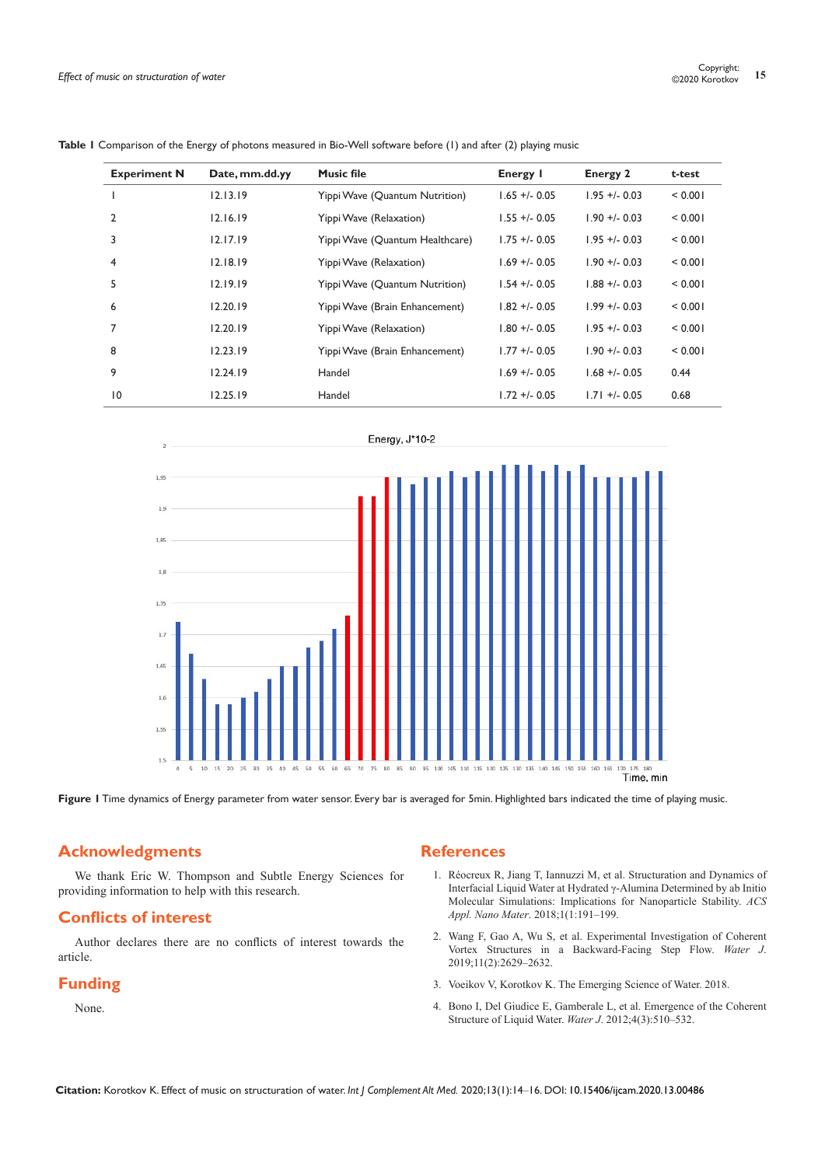| <b>Experiment N</b> | Date, mm.dd.yy | <b>Music file</b>               | Energy I        | <b>Energy 2</b> | t-test  |  |
|---------------------|----------------|---------------------------------|-----------------|-----------------|---------|--|
|                     | 12.13.19       | Yippi Wave (Quantum Nutrition)  | $1.65 + 0.05$   | $1.95 + -0.03$  | < 0.001 |  |
| 2                   | 12.16.19       | Yippi Wave (Relaxation)         | $1.55 + -0.05$  | $1.90 + -0.03$  | < 0.001 |  |
| 3                   | 12.17.19       | Yippi Wave (Quantum Healthcare) | $1.75 + 0.05$   | $1.95 + 0.03$   | < 0.001 |  |
| 4                   | 12.18.19       | Yippi Wave (Relaxation)         | $1.69 + - 0.05$ | $1.90 + -0.03$  | < 0.001 |  |
| 5                   | 12.19.19       | Yippi Wave (Quantum Nutrition)  | $1.54 + -0.05$  | $1.88 + -0.03$  | < 0.001 |  |
| 6                   | 12.20.19       | Yippi Wave (Brain Enhancement)  | $1.82 + 0.05$   | $1.99 + 0.03$   | < 0.001 |  |
| 7                   | 12.20.19       | Yippi Wave (Relaxation)         | $1.80 + -0.05$  | $1.95 + 0.03$   | < 0.001 |  |
| 8                   | 12.23.19       | Yippi Wave (Brain Enhancement)  | $1.77 + 0.05$   | $1.90 + -0.03$  | < 0.001 |  |
| 9                   | 12.24.19       | Handel                          | $1.69 + 0.05$   | $1.68 + 0.05$   | 0.44    |  |
| $\overline{10}$     | 12.25.19       | Handel                          | $1.72 + 0.05$   | $1.71 + 0.05$   | 0.68    |  |

| <b>Table I</b> Comparison of the Energy of photons measured in Bio-Well software before (1) and after (2) playing music |  |  |  |  |  |
|-------------------------------------------------------------------------------------------------------------------------|--|--|--|--|--|
|                                                                                                                         |  |  |  |  |  |



**Figure 1** Time dynamics of Energy parameter from water sensor. Every bar is averaged for 5min. Highlighted bars indicated the time of playing music.

# **Acknowledgments**

We thank Eric W. Thompson and Subtle Energy Sciences for providing information to help with this research.

## **Conflicts of interest**

Author declares there are no conflicts of interest towards the article.

# **Funding**

None.

## **References**

- 1. [Réocreux R, Jiang T, Iannuzzi M, et al. Structuration and Dynamics of](https://pubs.acs.org/doi/abs/10.1021/acsanm.7b00100)  [Interfacial Liquid Water at Hydrated γ-Alumina Determined by ab Initio](https://pubs.acs.org/doi/abs/10.1021/acsanm.7b00100)  [Molecular Simulations: Implications for Nanoparticle Stability.](https://pubs.acs.org/doi/abs/10.1021/acsanm.7b00100) *ACS Appl. Nano Mater*[. 2018;1\(1:191–199.](https://pubs.acs.org/doi/abs/10.1021/acsanm.7b00100)
- 2. [Wang F, Gao A, Wu S, et al. Experimental Investigation of Coherent](https://www.mdpi.com/2073-4441/11/12/2629)  [Vortex Structures in a Backward-Facing Step Flow.](https://www.mdpi.com/2073-4441/11/12/2629) *Water J*. [2019;11\(2\):2629–2632.](https://www.mdpi.com/2073-4441/11/12/2629)
- 3. [Voeikov V, Korotkov K. The Emerging Science of Water. 2018.](https://gdvcamera.com/the-emerging-science-of-water/)
- 4. [Bono I, Del Giudice E, Gamberale L, et al. Emergence of the Coherent](https://www.mdpi.com/2073-4441/4/3/510/htm)  [Structure of Liquid Water.](https://www.mdpi.com/2073-4441/4/3/510/htm) *Water J*. 2012;4(3):510–532.